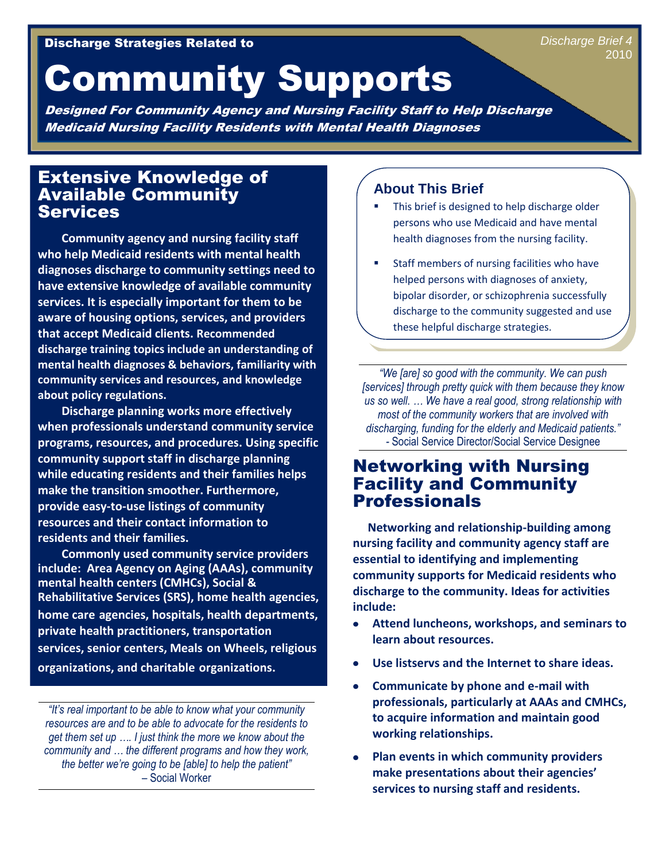# Community Supports

Designed For Community Agency and Nursing Facility Staff to Help Discharge Medicaid Nursing Facility Residents with Mental Health Diagnoses

#### Extensive Knowledge of Available Community **Services**

 **Community agency and nursing facility staff who help Medicaid residents with mental health diagnoses discharge to community settings need to have extensive knowledge of available community services. It is especially important for them to be aware of housing options, services, and providers that accept Medicaid clients. Recommended discharge training topics include an understanding of mental health diagnoses & behaviors, familiarity with community services and resources, and knowledge about policy regulations.**

 **Discharge planning works more effectively when professionals understand community service programs, resources, and procedures. Using specific community support staff in discharge planning while educating residents and their families helps make the transition smoother. Furthermore, provide easy-to-use listings of community resources and their contact information to residents and their families.** 

 **Commonly used community service providers include: Area Agency on Aging (AAAs), community mental health centers (CMHCs), Social & Rehabilitative Services (SRS), home health agencies, home care agencies, hospitals, health departments, private health practitioners, transportation services, senior centers, Meals on Wheels, religious organizations, and charitable organizations.** 

*"It's real important to be able to know what your community resources are and to be able to advocate for the residents to get them set up …. I just think the more we know about the community and … the different programs and how they work, the better we're going to be [able] to help the patient" –* Social Worker

#### **About This Brief**

- This brief is designed to help discharge older persons who use Medicaid and have mental health diagnoses from the nursing facility.
- Staff members of nursing facilities who have helped persons with diagnoses of anxiety, bipolar disorder, or schizophrenia successfully discharge to the community suggested and use these helpful discharge strategies.

*"We [are] so good with the community. We can push [services] through pretty quick with them because they know us so well. … We have a real good, strong relationship with most of the community workers that are involved with discharging, funding for the elderly and Medicaid patients." -* Social Service Director/Social Service Designee

#### Networking with Nursing Facility and Community Professionals

 **Networking and relationship-building among nursing facility and community agency staff are essential to identifying and implementing community supports for Medicaid residents who discharge to the community. Ideas for activities include:**

- **Attend luncheons, workshops, and seminars to learn about resources.**
- **Use listservs and the Internet to share ideas.**
- **Communicate by phone and e-mail with professionals, particularly at AAAs and CMHCs, to acquire information and maintain good working relationships.**
- **Plan events in which community providers make presentations about their agencies' services to nursing staff and residents.**

*Discharge Brief 4* 2010